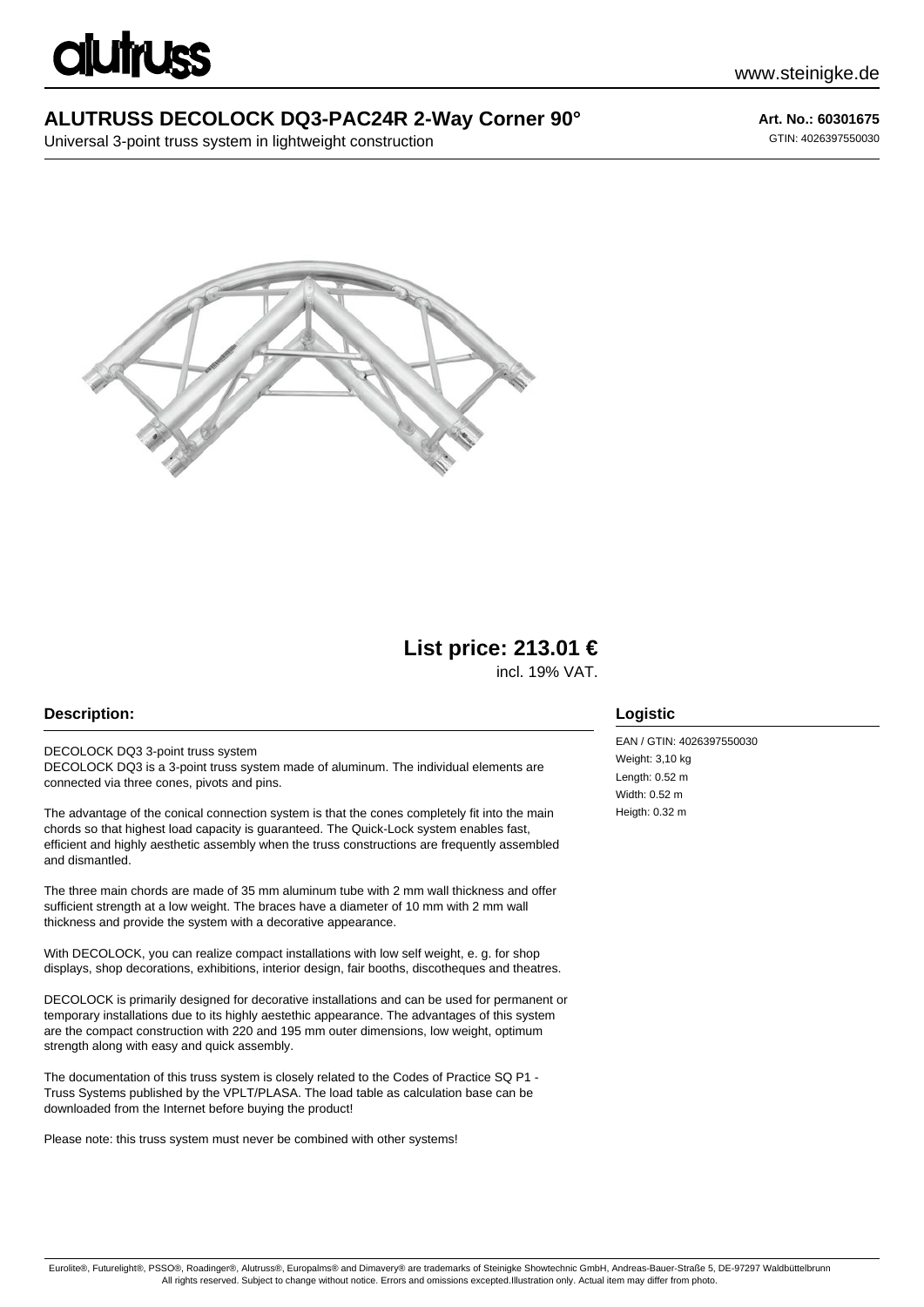# **imuss**

## **ALUTRUSS DECOLOCK DQ3-PAC24R 2-Way Corner 90°**

Universal 3-point truss system in lightweight construction

## **Art. No.: 60301675**

GTIN: 4026397550030



# **List price: 213.01 €**

incl. 19% VAT.

#### **Description:**

DECOLOCK DQ3 3-point truss system DECOLOCK DQ3 is a 3-point truss system made of aluminum. The individual elements are connected via three cones, pivots and pins.

The advantage of the conical connection system is that the cones completely fit into the main chords so that highest load capacity is guaranteed. The Quick-Lock system enables fast, efficient and highly aesthetic assembly when the truss constructions are frequently assembled and dismantled.

The three main chords are made of 35 mm aluminum tube with 2 mm wall thickness and offer sufficient strength at a low weight. The braces have a diameter of 10 mm with 2 mm wall thickness and provide the system with a decorative appearance.

With DECOLOCK, you can realize compact installations with low self weight, e. g. for shop displays, shop decorations, exhibitions, interior design, fair booths, discotheques and theatres.

DECOLOCK is primarily designed for decorative installations and can be used for permanent or temporary installations due to its highly aestethic appearance. The advantages of this system are the compact construction with 220 and 195 mm outer dimensions, low weight, optimum strength along with easy and quick assembly.

The documentation of this truss system is closely related to the Codes of Practice SQ P1 - Truss Systems published by the VPLT/PLASA. The load table as calculation base can be downloaded from the Internet before buying the product!

Please note: this truss system must never be combined with other systems!

#### **Logistic**

EAN / GTIN: 4026397550030 Weight: 3.10 kg Length: 0.52 m Width: 0.52 m Heigth: 0.32 m